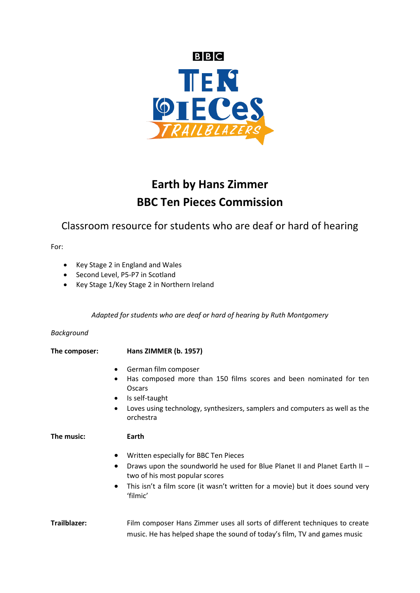

# **Earth by Hans Zimmer BBC Ten Pieces Commission**

Classroom resource for students who are deaf or hard of hearing

For:

- Key Stage 2 in England and Wales
- Second Level, P5-P7 in Scotland
- Key Stage 1/Key Stage 2 in Northern Ireland

*Adapted for students who are deaf or hard of hearing by Ruth Montgomery* 

#### *Background*

# **The composer: Hans ZIMMER (b. 1957)**

- German film composer
- Has composed more than 150 films scores and been nominated for ten Oscars
- Is self-taught
- Loves using technology, synthesizers, samplers and computers as well as the orchestra

#### **The music: Earth**

- Written especially for BBC Ten Pieces
- $\bullet$  Draws upon the soundworld he used for Blue Planet II and Planet Earth II two of his most popular scores
- This isn't a film score (it wasn't written for a movie) but it does sound very 'filmic'

### **Trailblazer:** Film composer Hans Zimmer uses all sorts of different techniques to create music. He has helped shape the sound of today's film, TV and games music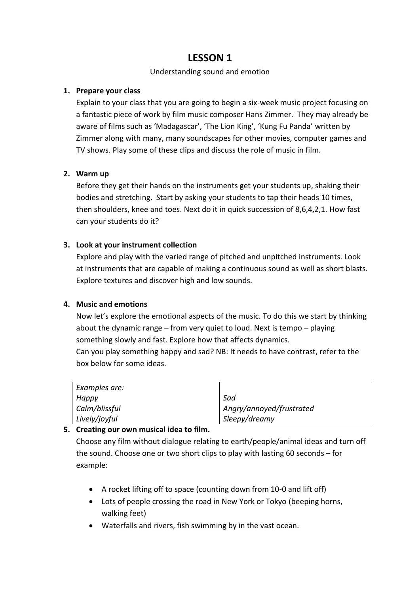# Understanding sound and emotion

# **1. Prepare your class**

Explain to your class that you are going to begin a six-week music project focusing on a fantastic piece of work by film music composer Hans Zimmer. They may already be aware of films such as 'Madagascar', 'The Lion King', 'Kung Fu Panda' written by Zimmer along with many, many soundscapes for other movies, computer games and TV shows. Play some of these clips and discuss the role of music in film.

# **2. Warm up**

Before they get their hands on the instruments get your students up, shaking their bodies and stretching. Start by asking your students to tap their heads 10 times, then shoulders, knee and toes. Next do it in quick succession of 8,6,4,2,1. How fast can your students do it?

# **3. Look at your instrument collection**

Explore and play with the varied range of pitched and unpitched instruments. Look at instruments that are capable of making a continuous sound as well as short blasts. Explore textures and discover high and low sounds.

### **4. Music and emotions**

Now let's explore the emotional aspects of the music. To do this we start by thinking about the dynamic range – from very quiet to loud. Next is tempo – playing something slowly and fast. Explore how that affects dynamics. Can you play something happy and sad? NB: It needs to have contrast, refer to the box below for some ideas.

| Examples are: |                          |
|---------------|--------------------------|
| Happy         | Sad                      |
| Calm/blissful | Angry/annoyed/frustrated |
| Lively/joyful | Sleepy/dreamy            |

### **5. Creating our own musical idea to film.**

Choose any film without dialogue relating to earth/people/animal ideas and turn off the sound. Choose one or two short clips to play with lasting 60 seconds – for example:

- A rocket lifting off to space (counting down from 10-0 and lift off)
- Lots of people crossing the road in New York or Tokyo (beeping horns, walking feet)
- Waterfalls and rivers, fish swimming by in the vast ocean.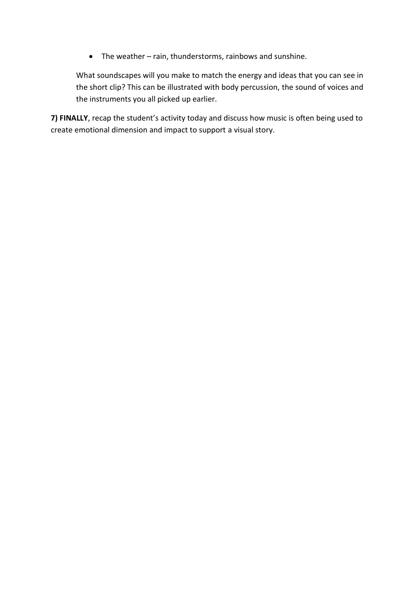The weather – rain, thunderstorms, rainbows and sunshine.

What soundscapes will you make to match the energy and ideas that you can see in the short clip? This can be illustrated with body percussion, the sound of voices and the instruments you all picked up earlier.

**7) FINALLY**, recap the student's activity today and discuss how music is often being used to create emotional dimension and impact to support a visual story.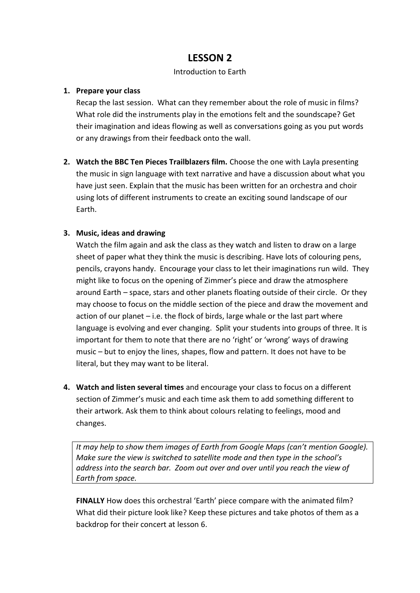# Introduction to Earth

# **1. Prepare your class**

Recap the last session. What can they remember about the role of music in films? What role did the instruments play in the emotions felt and the soundscape? Get their imagination and ideas flowing as well as conversations going as you put words or any drawings from their feedback onto the wall.

**2. Watch the BBC Ten Pieces Trailblazers film.** Choose the one with Layla presenting the music in sign language with text narrative and have a discussion about what you have just seen. Explain that the music has been written for an orchestra and choir using lots of different instruments to create an exciting sound landscape of our Earth.

# **3. Music, ideas and drawing**

Watch the film again and ask the class as they watch and listen to draw on a large sheet of paper what they think the music is describing. Have lots of colouring pens, pencils, crayons handy. Encourage your class to let their imaginations run wild. They might like to focus on the opening of Zimmer's piece and draw the atmosphere around Earth – space, stars and other planets floating outside of their circle. Or they may choose to focus on the middle section of the piece and draw the movement and action of our planet – i.e. the flock of birds, large whale or the last part where language is evolving and ever changing. Split your students into groups of three. It is important for them to note that there are no 'right' or 'wrong' ways of drawing music – but to enjoy the lines, shapes, flow and pattern. It does not have to be literal, but they may want to be literal.

**4. Watch and listen several times** and encourage your class to focus on a different section of Zimmer's music and each time ask them to add something different to their artwork. Ask them to think about colours relating to feelings, mood and changes.

*It may help to show them images of Earth from Google Maps (can't mention Google). Make sure the view is switched to satellite mode and then type in the school's address into the search bar. Zoom out over and over until you reach the view of Earth from space.* 

**FINALLY** How does this orchestral 'Earth' piece compare with the animated film? What did their picture look like? Keep these pictures and take photos of them as a backdrop for their concert at lesson 6.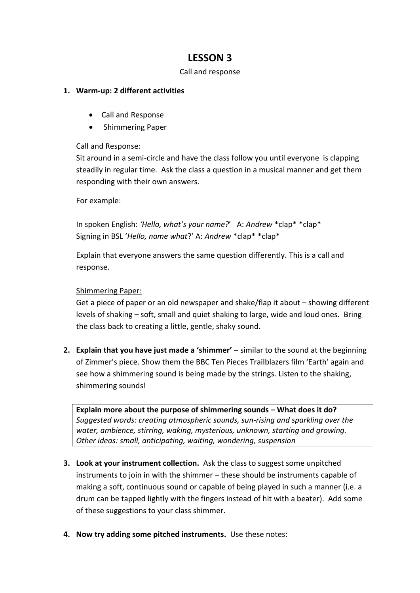#### Call and response

### **1. Warm-up: 2 different activities**

- Call and Response
- Shimmering Paper

### Call and Response:

Sit around in a semi-circle and have the class follow you until everyone is clapping steadily in regular time. Ask the class a question in a musical manner and get them responding with their own answers.

For example:

In spoken English: *'Hello, what's your name?*' A: *Andrew* \*clap\* \*clap\* Signing in BSL '*Hello, name what*?' A: *Andrew* \*clap\* \*clap\*

Explain that everyone answers the same question differently. This is a call and response.

#### Shimmering Paper:

Get a piece of paper or an old newspaper and shake/flap it about – showing different levels of shaking – soft, small and quiet shaking to large, wide and loud ones. Bring the class back to creating a little, gentle, shaky sound.

**2. Explain that you have just made a 'shimmer'** – similar to the sound at the beginning of Zimmer's piece. Show them the BBC Ten Pieces Trailblazers film 'Earth' again and see how a shimmering sound is being made by the strings. Listen to the shaking, shimmering sounds!

**Explain more about the purpose of shimmering sounds – What does it do?** *Suggested words: creating atmospheric sounds, sun-rising and sparkling over the water, ambience, stirring, waking, mysterious, unknown, starting and growing. Other ideas: small, anticipating, waiting, wondering, suspension*

- **3. Look at your instrument collection.** Ask the class to suggest some unpitched instruments to join in with the shimmer – these should be instruments capable of making a soft, continuous sound or capable of being played in such a manner (i.e. a drum can be tapped lightly with the fingers instead of hit with a beater). Add some of these suggestions to your class shimmer.
- **4. Now try adding some pitched instruments.** Use these notes: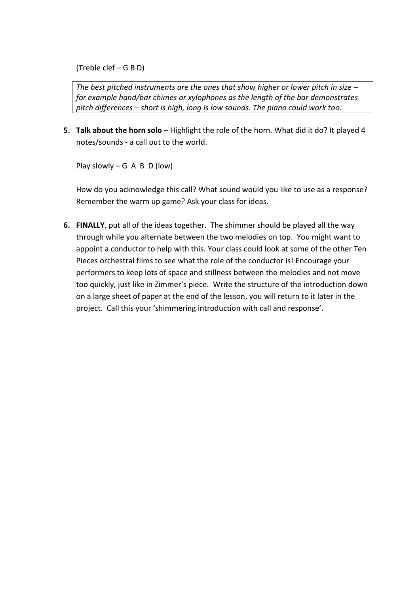(Treble clef – G B D)

*The best pitched instruments are the ones that show higher or lower pitch in size – for example hand/bar chimes or xylophones as the length of the bar demonstrates pitch differences – short is high, long is low sounds. The piano could work too.* 

**5. Talk about the horn solo** – Highlight the role of the horn. What did it do? It played 4 notes/sounds - a call out to the world.

Play slowly – G  $A$  B  $D$  (low)

How do you acknowledge this call? What sound would you like to use as a response? Remember the warm up game? Ask your class for ideas.

**6. FINALLY**, put all of the ideas together. The shimmer should be played all the way through while you alternate between the two melodies on top. You might want to appoint a conductor to help with this. Your class could look at some of the other Ten Pieces orchestral films to see what the role of the conductor is! Encourage your performers to keep lots of space and stillness between the melodies and not move too quickly, just like in Zimmer's piece. Write the structure of the introduction down on a large sheet of paper at the end of the lesson, you will return to it later in the project. Call this your 'shimmering introduction with call and response'.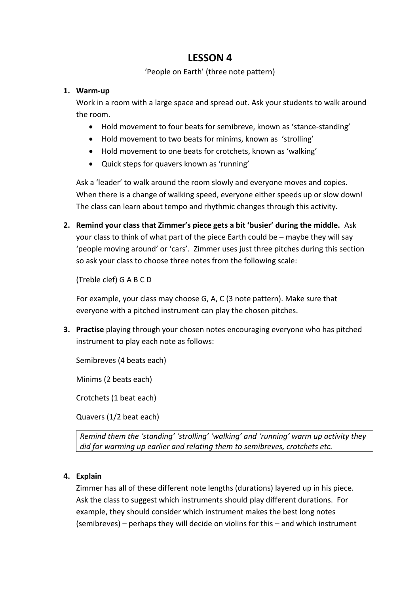# 'People on Earth' (three note pattern)

### **1. Warm-up**

Work in a room with a large space and spread out. Ask your students to walk around the room.

- Hold movement to four beats for semibreve, known as 'stance-standing'
- Hold movement to two beats for minims, known as 'strolling'
- Hold movement to one beats for crotchets, known as 'walking'
- Quick steps for quavers known as 'running'

Ask a 'leader' to walk around the room slowly and everyone moves and copies. When there is a change of walking speed, everyone either speeds up or slow down! The class can learn about tempo and rhythmic changes through this activity.

**2. Remind your class that Zimmer's piece gets a bit 'busier' during the middle.** Ask your class to think of what part of the piece Earth could be – maybe they will say 'people moving around' or 'cars'. Zimmer uses just three pitches during this section so ask your class to choose three notes from the following scale:

(Treble clef) G A B C D

For example, your class may choose G, A, C (3 note pattern). Make sure that everyone with a pitched instrument can play the chosen pitches.

**3. Practise** playing through your chosen notes encouraging everyone who has pitched instrument to play each note as follows:

Semibreves (4 beats each)

Minims (2 beats each)

Crotchets (1 beat each)

Quavers (1/2 beat each)

*Remind them the 'standing' 'strolling' 'walking' and 'running' warm up activity they did for warming up earlier and relating them to semibreves, crotchets etc.*

# **4. Explain**

Zimmer has all of these different note lengths (durations) layered up in his piece. Ask the class to suggest which instruments should play different durations. For example, they should consider which instrument makes the best long notes (semibreves) – perhaps they will decide on violins for this – and which instrument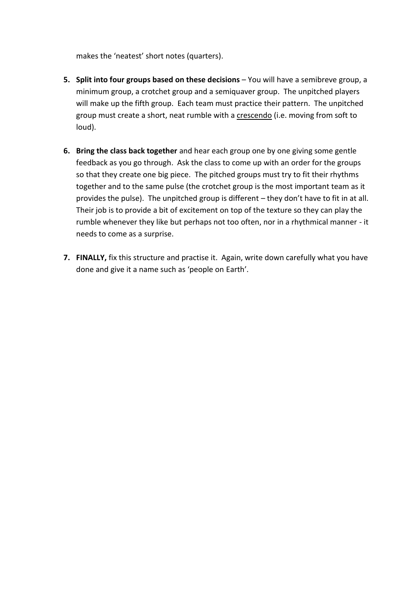makes the 'neatest' short notes (quarters).

- **5. Split into four groups based on these decisions** You will have a semibreve group, a minimum group, a crotchet group and a semiquaver group. The unpitched players will make up the fifth group. Each team must practice their pattern. The unpitched group must create a short, neat rumble with a crescendo (i.e. moving from soft to loud).
- **6. Bring the class back together** and hear each group one by one giving some gentle feedback as you go through. Ask the class to come up with an order for the groups so that they create one big piece. The pitched groups must try to fit their rhythms together and to the same pulse (the crotchet group is the most important team as it provides the pulse). The unpitched group is different – they don't have to fit in at all. Their job is to provide a bit of excitement on top of the texture so they can play the rumble whenever they like but perhaps not too often, nor in a rhythmical manner - it needs to come as a surprise.
- **7. FINALLY,** fix this structure and practise it. Again, write down carefully what you have done and give it a name such as 'people on Earth'.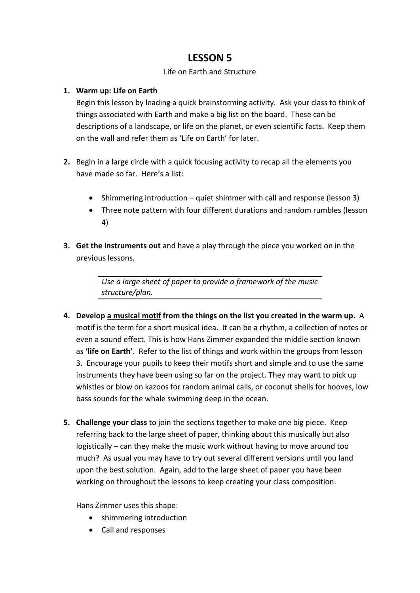# Life on Earth and Structure

# **1. Warm up: Life on Earth**

Begin this lesson by leading a quick brainstorming activity. Ask your class to think of things associated with Earth and make a big list on the board. These can be descriptions of a landscape, or life on the planet, or even scientific facts. Keep them on the wall and refer them as 'Life on Earth' for later.

- **2.** Begin in a large circle with a quick focusing activity to recap all the elements you have made so far. Here's a list:
	- Shimmering introduction quiet shimmer with call and response (lesson 3)
	- Three note pattern with four different durations and random rumbles (lesson 4)
- **3. Get the instruments out** and have a play through the piece you worked on in the previous lessons.

*Use a large sheet of paper to provide a framework of the music structure/plan.* 

- **4. Develop a musical motif from the things on the list you created in the warm up.** A motif is the term for a short musical idea. It can be a rhythm, a collection of notes or even a sound effect. This is how Hans Zimmer expanded the middle section known as **'life on Earth'**. Refer to the list of things and work within the groups from lesson 3. Encourage your pupils to keep their motifs short and simple and to use the same instruments they have been using so far on the project. They may want to pick up whistles or blow on kazoos for random animal calls, or coconut shells for hooves, low bass sounds for the whale swimming deep in the ocean.
- **5. Challenge your class** to join the sections together to make one big piece. Keep referring back to the large sheet of paper, thinking about this musically but also logistically – can they make the music work without having to move around too much? As usual you may have to try out several different versions until you land upon the best solution. Again, add to the large sheet of paper you have been working on throughout the lessons to keep creating your class composition.

Hans Zimmer uses this shape:

- shimmering introduction
- Call and responses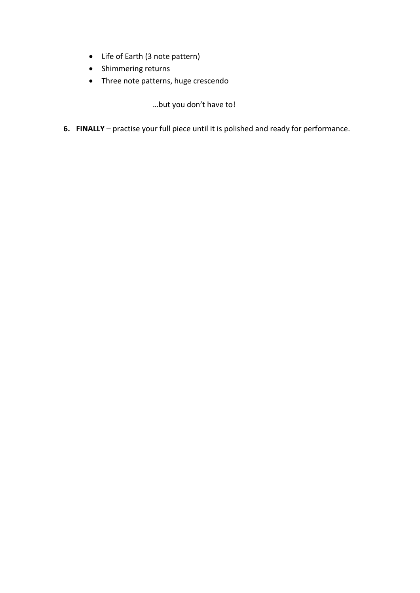- Life of Earth (3 note pattern)
- Shimmering returns
- Three note patterns, huge crescendo

…but you don't have to!

**6. FINALLY** – practise your full piece until it is polished and ready for performance.